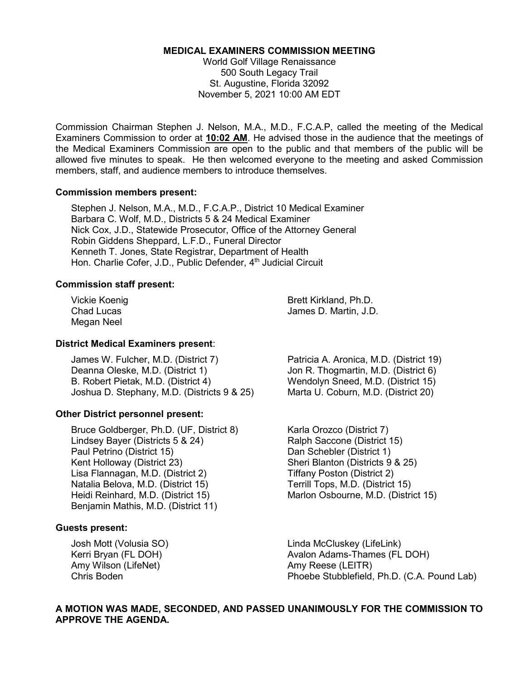#### **MEDICAL EXAMINERS COMMISSION MEETING**

World Golf Village Renaissance 500 South Legacy Trail St. Augustine, Florida 32092 November 5, 2021 10:00 AM EDT

Commission Chairman Stephen J. Nelson, M.A., M.D., F.C.A.P, called the meeting of the Medical Examiners Commission to order at **10:02 AM**. He advised those in the audience that the meetings of the Medical Examiners Commission are open to the public and that members of the public will be allowed five minutes to speak. He then welcomed everyone to the meeting and asked Commission members, staff, and audience members to introduce themselves.

#### **Commission members present:**

Stephen J. Nelson, M.A., M.D., F.C.A.P., District 10 Medical Examiner Barbara C. Wolf, M.D., Districts 5 & 24 Medical Examiner Nick Cox, J.D., Statewide Prosecutor, Office of the Attorney General Robin Giddens Sheppard, L.F.D., Funeral Director Kenneth T. Jones, State Registrar, Department of Health Hon. Charlie Cofer, J.D., Public Defender, 4<sup>th</sup> Judicial Circuit

### **Commission staff present:**

Megan Neel

Vickie Koenig Brett Kirkland, Ph.D. Chad Lucas **James D. Martin, J.D.** 

### **District Medical Examiners present**:

James W. Fulcher, M.D. (District 7) Patricia A. Aronica, M.D. (District 19) B. Robert Pietak, M.D. (District 4) Wendolyn Sneed, M.D. (District 15) Joshua D. Stephany, M.D. (Districts 9 & 25) Marta U. Coburn, M.D. (District 20)

### **Other District personnel present:**

Bruce Goldberger, Ph.D. (UF, District 8) Karla Orozco (District 7) Lindsey Bayer (Districts 5 & 24) Ralph Saccone (District 15) Paul Petrino (District 15)<br>
Kent Holloway (District 23) Sheri Blanton (Districts 9 Lisa Flannagan, M.D. (District 2) Tiffany Poston (District 2) Natalia Belova, M.D. (District 15) Terrill Tops, M.D. (District 15) Heidi Reinhard, M.D. (District 15) Marlon Osbourne, M.D. (District 15) Benjamin Mathis, M.D. (District 11)

### **Guests present:**

Amy Wilson (LifeNet) Amy Reese (LEITR)<br>Chris Boden **Amy Reese (LEITR)** 

Jon R. Thogmartin, M.D. (District 6)

Sheri Blanton (Districts 9 & 25)

Josh Mott (Volusia SO) Linda McCluskey (LifeLink) Kerri Bryan (FL DOH) **Avalon Adams-Thames (FL DOH)** Avalon Adams-Thames (FL DOH) Phoebe Stubblefield, Ph.D. (C.A. Pound Lab)

# **A MOTION WAS MADE, SECONDED, AND PASSED UNANIMOUSLY FOR THE COMMISSION TO APPROVE THE AGENDA.**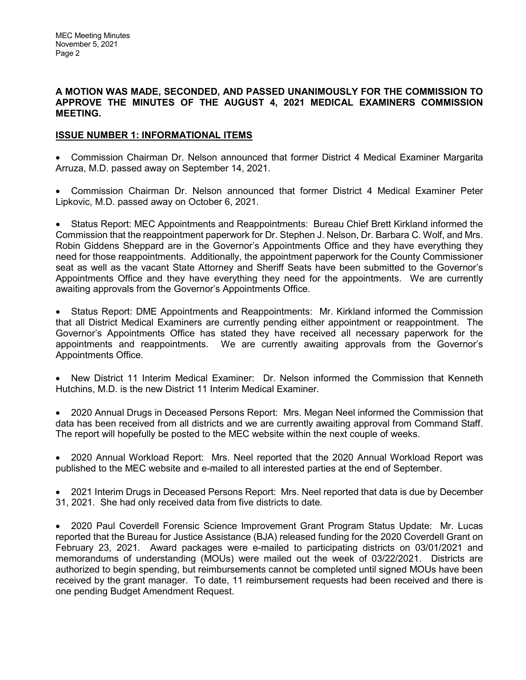### **A MOTION WAS MADE, SECONDED, AND PASSED UNANIMOUSLY FOR THE COMMISSION TO APPROVE THE MINUTES OF THE AUGUST 4, 2021 MEDICAL EXAMINERS COMMISSION MEETING.**

# **ISSUE NUMBER 1: INFORMATIONAL ITEMS**

• Commission Chairman Dr. Nelson announced that former District 4 Medical Examiner Margarita Arruza, M.D. passed away on September 14, 2021.

• Commission Chairman Dr. Nelson announced that former District 4 Medical Examiner Peter Lipkovic, M.D. passed away on October 6, 2021.

• Status Report: MEC Appointments and Reappointments: Bureau Chief Brett Kirkland informed the Commission that the reappointment paperwork for Dr. Stephen J. Nelson, Dr. Barbara C. Wolf, and Mrs. Robin Giddens Sheppard are in the Governor's Appointments Office and they have everything they need for those reappointments. Additionally, the appointment paperwork for the County Commissioner seat as well as the vacant State Attorney and Sheriff Seats have been submitted to the Governor's Appointments Office and they have everything they need for the appointments. We are currently awaiting approvals from the Governor's Appointments Office.

• Status Report: DME Appointments and Reappointments: Mr. Kirkland informed the Commission that all District Medical Examiners are currently pending either appointment or reappointment. The Governor's Appointments Office has stated they have received all necessary paperwork for the appointments and reappointments. We are currently awaiting approvals from the Governor's Appointments Office.

• New District 11 Interim Medical Examiner: Dr. Nelson informed the Commission that Kenneth Hutchins, M.D. is the new District 11 Interim Medical Examiner.

• 2020 Annual Drugs in Deceased Persons Report: Mrs. Megan Neel informed the Commission that data has been received from all districts and we are currently awaiting approval from Command Staff. The report will hopefully be posted to the MEC website within the next couple of weeks.

• 2020 Annual Workload Report: Mrs. Neel reported that the 2020 Annual Workload Report was published to the MEC website and e-mailed to all interested parties at the end of September.

• 2021 Interim Drugs in Deceased Persons Report: Mrs. Neel reported that data is due by December 31, 2021. She had only received data from five districts to date.

• 2020 Paul Coverdell Forensic Science Improvement Grant Program Status Update: Mr. Lucas reported that the Bureau for Justice Assistance (BJA) released funding for the 2020 Coverdell Grant on February 23, 2021. Award packages were e-mailed to participating districts on 03/01/2021 and memorandums of understanding (MOUs) were mailed out the week of 03/22/2021. Districts are authorized to begin spending, but reimbursements cannot be completed until signed MOUs have been received by the grant manager. To date, 11 reimbursement requests had been received and there is one pending Budget Amendment Request.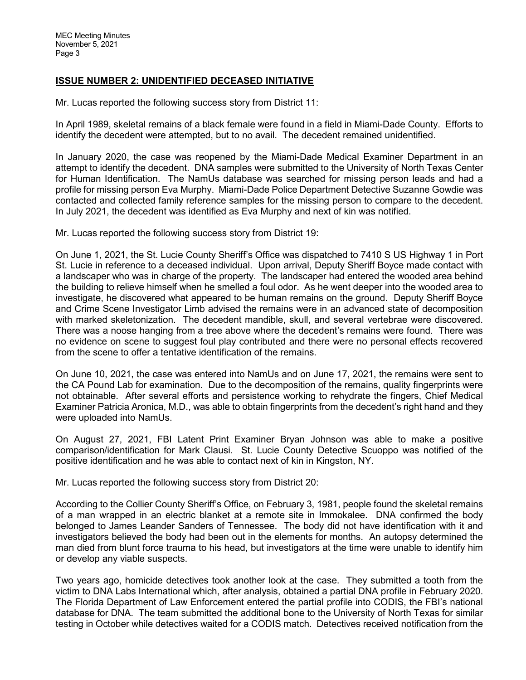# **ISSUE NUMBER 2: UNIDENTIFIED DECEASED INITIATIVE**

Mr. Lucas reported the following success story from District 11:

In April 1989, skeletal remains of a black female were found in a field in Miami-Dade County. Efforts to identify the decedent were attempted, but to no avail. The decedent remained unidentified.

In January 2020, the case was reopened by the Miami-Dade Medical Examiner Department in an attempt to identify the decedent. DNA samples were submitted to the University of North Texas Center for Human Identification. The NamUs database was searched for missing person leads and had a profile for missing person Eva Murphy. Miami-Dade Police Department Detective Suzanne Gowdie was contacted and collected family reference samples for the missing person to compare to the decedent. In July 2021, the decedent was identified as Eva Murphy and next of kin was notified.

Mr. Lucas reported the following success story from District 19:

On June 1, 2021, the St. Lucie County Sheriff's Office was dispatched to 7410 S US Highway 1 in Port St. Lucie in reference to a deceased individual. Upon arrival, Deputy Sheriff Boyce made contact with a landscaper who was in charge of the property. The landscaper had entered the wooded area behind the building to relieve himself when he smelled a foul odor. As he went deeper into the wooded area to investigate, he discovered what appeared to be human remains on the ground. Deputy Sheriff Boyce and Crime Scene Investigator Limb advised the remains were in an advanced state of decomposition with marked skeletonization. The decedent mandible, skull, and several vertebrae were discovered. There was a noose hanging from a tree above where the decedent's remains were found. There was no evidence on scene to suggest foul play contributed and there were no personal effects recovered from the scene to offer a tentative identification of the remains.

On June 10, 2021, the case was entered into NamUs and on June 17, 2021, the remains were sent to the CA Pound Lab for examination. Due to the decomposition of the remains, quality fingerprints were not obtainable. After several efforts and persistence working to rehydrate the fingers, Chief Medical Examiner Patricia Aronica, M.D., was able to obtain fingerprints from the decedent's right hand and they were uploaded into NamUs.

On August 27, 2021, FBI Latent Print Examiner Bryan Johnson was able to make a positive comparison/identification for Mark Clausi. St. Lucie County Detective Scuoppo was notified of the positive identification and he was able to contact next of kin in Kingston, NY.

Mr. Lucas reported the following success story from District 20:

According to the Collier County Sheriff's Office, on February 3, 1981, people found the skeletal remains of a man wrapped in an electric blanket at a remote site in Immokalee. DNA confirmed the body belonged to James Leander Sanders of Tennessee. The body did not have identification with it and investigators believed the body had been out in the elements for months. An autopsy determined the man died from blunt force trauma to his head, but investigators at the time were unable to identify him or develop any viable suspects.

Two years ago, homicide detectives took another look at the case. They submitted a tooth from the victim to DNA Labs International which, after analysis, obtained a partial DNA profile in February 2020. The Florida Department of Law Enforcement entered the partial profile into CODIS, the FBI's national database for DNA. The team submitted the additional bone to the University of North Texas for similar testing in October while detectives waited for a CODIS match. Detectives received notification from the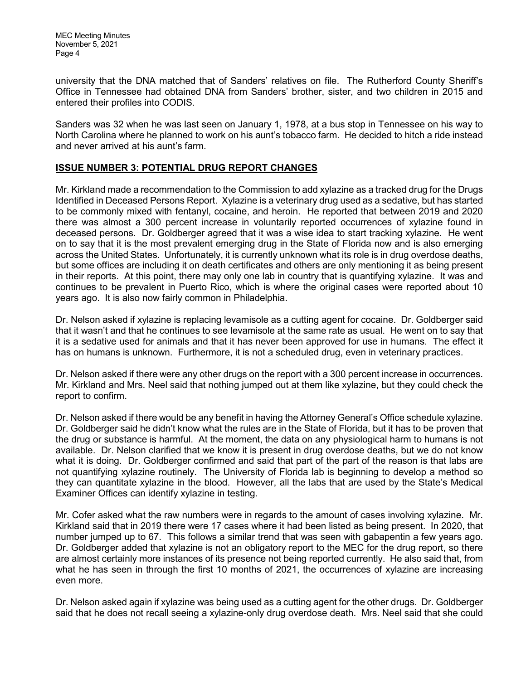university that the DNA matched that of Sanders' relatives on file. The Rutherford County Sheriff's Office in Tennessee had obtained DNA from Sanders' brother, sister, and two children in 2015 and entered their profiles into CODIS.

Sanders was 32 when he was last seen on January 1, 1978, at a bus stop in Tennessee on his way to North Carolina where he planned to work on his aunt's tobacco farm. He decided to hitch a ride instead and never arrived at his aunt's farm.

## **ISSUE NUMBER 3: POTENTIAL DRUG REPORT CHANGES**

Mr. Kirkland made a recommendation to the Commission to add xylazine as a tracked drug for the Drugs Identified in Deceased Persons Report. Xylazine is a veterinary drug used as a sedative, but has started to be commonly mixed with fentanyl, cocaine, and heroin. He reported that between 2019 and 2020 there was almost a 300 percent increase in voluntarily reported occurrences of xylazine found in deceased persons. Dr. Goldberger agreed that it was a wise idea to start tracking xylazine. He went on to say that it is the most prevalent emerging drug in the State of Florida now and is also emerging across the United States. Unfortunately, it is currently unknown what its role is in drug overdose deaths, but some offices are including it on death certificates and others are only mentioning it as being present in their reports. At this point, there may only one lab in country that is quantifying xylazine. It was and continues to be prevalent in Puerto Rico, which is where the original cases were reported about 10 years ago. It is also now fairly common in Philadelphia.

Dr. Nelson asked if xylazine is replacing levamisole as a cutting agent for cocaine. Dr. Goldberger said that it wasn't and that he continues to see levamisole at the same rate as usual. He went on to say that it is a sedative used for animals and that it has never been approved for use in humans. The effect it has on humans is unknown. Furthermore, it is not a scheduled drug, even in veterinary practices.

Dr. Nelson asked if there were any other drugs on the report with a 300 percent increase in occurrences. Mr. Kirkland and Mrs. Neel said that nothing jumped out at them like xylazine, but they could check the report to confirm.

Dr. Nelson asked if there would be any benefit in having the Attorney General's Office schedule xylazine. Dr. Goldberger said he didn't know what the rules are in the State of Florida, but it has to be proven that the drug or substance is harmful. At the moment, the data on any physiological harm to humans is not available. Dr. Nelson clarified that we know it is present in drug overdose deaths, but we do not know what it is doing. Dr. Goldberger confirmed and said that part of the part of the reason is that labs are not quantifying xylazine routinely. The University of Florida lab is beginning to develop a method so they can quantitate xylazine in the blood. However, all the labs that are used by the State's Medical Examiner Offices can identify xylazine in testing.

Mr. Cofer asked what the raw numbers were in regards to the amount of cases involving xylazine. Mr. Kirkland said that in 2019 there were 17 cases where it had been listed as being present. In 2020, that number jumped up to 67. This follows a similar trend that was seen with gabapentin a few years ago. Dr. Goldberger added that xylazine is not an obligatory report to the MEC for the drug report, so there are almost certainly more instances of its presence not being reported currently. He also said that, from what he has seen in through the first 10 months of 2021, the occurrences of xylazine are increasing even more.

Dr. Nelson asked again if xylazine was being used as a cutting agent for the other drugs. Dr. Goldberger said that he does not recall seeing a xylazine-only drug overdose death. Mrs. Neel said that she could